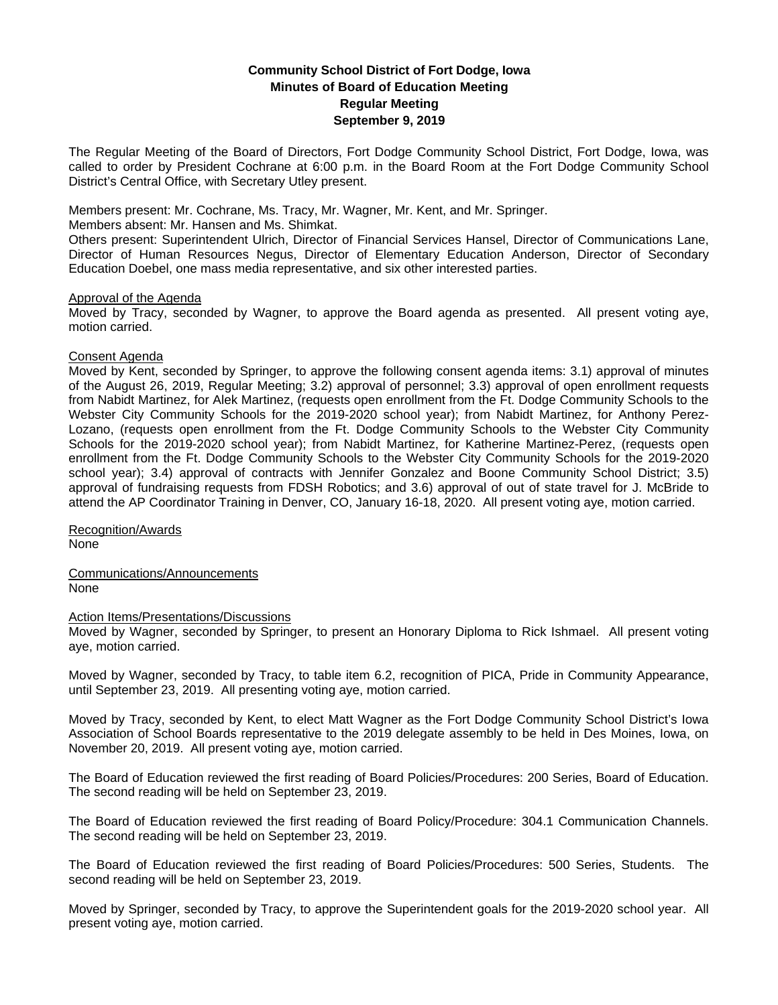# **Community School District of Fort Dodge, Iowa Minutes of Board of Education Meeting Regular Meeting September 9, 2019**

The Regular Meeting of the Board of Directors, Fort Dodge Community School District, Fort Dodge, Iowa, was called to order by President Cochrane at 6:00 p.m. in the Board Room at the Fort Dodge Community School District's Central Office, with Secretary Utley present.

Members present: Mr. Cochrane, Ms. Tracy, Mr. Wagner, Mr. Kent, and Mr. Springer.

Members absent: Mr. Hansen and Ms. Shimkat.

Others present: Superintendent Ulrich, Director of Financial Services Hansel, Director of Communications Lane, Director of Human Resources Negus, Director of Elementary Education Anderson, Director of Secondary Education Doebel, one mass media representative, and six other interested parties.

### Approval of the Agenda

Moved by Tracy, seconded by Wagner, to approve the Board agenda as presented. All present voting aye, motion carried.

## Consent Agenda

Moved by Kent, seconded by Springer, to approve the following consent agenda items: 3.1) approval of minutes of the August 26, 2019, Regular Meeting; 3.2) approval of personnel; 3.3) approval of open enrollment requests from Nabidt Martinez, for Alek Martinez, (requests open enrollment from the Ft. Dodge Community Schools to the Webster City Community Schools for the 2019-2020 school year); from Nabidt Martinez, for Anthony Perez-Lozano, (requests open enrollment from the Ft. Dodge Community Schools to the Webster City Community Schools for the 2019-2020 school year); from Nabidt Martinez, for Katherine Martinez-Perez, (requests open enrollment from the Ft. Dodge Community Schools to the Webster City Community Schools for the 2019-2020 school year); 3.4) approval of contracts with Jennifer Gonzalez and Boone Community School District; 3.5) approval of fundraising requests from FDSH Robotics; and 3.6) approval of out of state travel for J. McBride to attend the AP Coordinator Training in Denver, CO, January 16-18, 2020. All present voting aye, motion carried.

Recognition/Awards None

Communications/Announcements None

Action Items/Presentations/Discussions

Moved by Wagner, seconded by Springer, to present an Honorary Diploma to Rick Ishmael. All present voting aye, motion carried.

Moved by Wagner, seconded by Tracy, to table item 6.2, recognition of PICA, Pride in Community Appearance, until September 23, 2019. All presenting voting aye, motion carried.

Moved by Tracy, seconded by Kent, to elect Matt Wagner as the Fort Dodge Community School District's Iowa Association of School Boards representative to the 2019 delegate assembly to be held in Des Moines, Iowa, on November 20, 2019. All present voting aye, motion carried.

The Board of Education reviewed the first reading of Board Policies/Procedures: 200 Series, Board of Education. The second reading will be held on September 23, 2019.

The Board of Education reviewed the first reading of Board Policy/Procedure: 304.1 Communication Channels. The second reading will be held on September 23, 2019.

The Board of Education reviewed the first reading of Board Policies/Procedures: 500 Series, Students. The second reading will be held on September 23, 2019.

Moved by Springer, seconded by Tracy, to approve the Superintendent goals for the 2019-2020 school year. All present voting aye, motion carried.